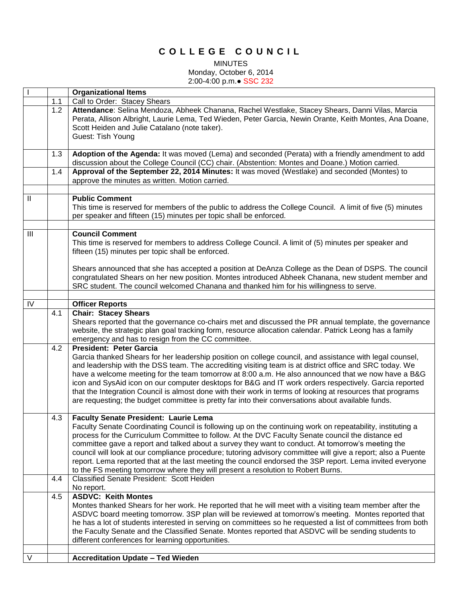## **C O L L E G E C O U N C I L**

MINUTES

Monday, October 6, 2014 2:00-4:00 p.m.● SSC 232

|              |     | <b>Organizational Items</b>                                                                                                                                                                                                                                                                                                                                                                                                                                                                                                                                                                                                                                                               |
|--------------|-----|-------------------------------------------------------------------------------------------------------------------------------------------------------------------------------------------------------------------------------------------------------------------------------------------------------------------------------------------------------------------------------------------------------------------------------------------------------------------------------------------------------------------------------------------------------------------------------------------------------------------------------------------------------------------------------------------|
|              | 1.1 | Call to Order: Stacey Shears                                                                                                                                                                                                                                                                                                                                                                                                                                                                                                                                                                                                                                                              |
|              | 1.2 | Attendance: Selina Mendoza, Abheek Chanana, Rachel Westlake, Stacey Shears, Danni Vilas, Marcia<br>Perata, Allison Albright, Laurie Lema, Ted Wieden, Peter Garcia, Newin Orante, Keith Montes, Ana Doane,<br>Scott Heiden and Julie Catalano (note taker).<br>Guest: Tish Young                                                                                                                                                                                                                                                                                                                                                                                                          |
|              | 1.3 | Adoption of the Agenda: It was moved (Lema) and seconded (Perata) with a friendly amendment to add<br>discussion about the College Council (CC) chair. (Abstention: Montes and Doane.) Motion carried.                                                                                                                                                                                                                                                                                                                                                                                                                                                                                    |
|              | 1.4 | Approval of the September 22, 2014 Minutes: It was moved (Westlake) and seconded (Montes) to<br>approve the minutes as written. Motion carried.                                                                                                                                                                                                                                                                                                                                                                                                                                                                                                                                           |
|              |     |                                                                                                                                                                                                                                                                                                                                                                                                                                                                                                                                                                                                                                                                                           |
| $\mathbf{H}$ |     | <b>Public Comment</b><br>This time is reserved for members of the public to address the College Council. A limit of five (5) minutes<br>per speaker and fifteen (15) minutes per topic shall be enforced.                                                                                                                                                                                                                                                                                                                                                                                                                                                                                 |
|              |     |                                                                                                                                                                                                                                                                                                                                                                                                                                                                                                                                                                                                                                                                                           |
| Ш            |     | <b>Council Comment</b><br>This time is reserved for members to address College Council. A limit of (5) minutes per speaker and<br>fifteen (15) minutes per topic shall be enforced.                                                                                                                                                                                                                                                                                                                                                                                                                                                                                                       |
|              |     | Shears announced that she has accepted a position at DeAnza College as the Dean of DSPS. The council<br>congratulated Shears on her new position. Montes introduced Abheek Chanana, new student member and<br>SRC student. The council welcomed Chanana and thanked him for his willingness to serve.                                                                                                                                                                                                                                                                                                                                                                                     |
|              |     |                                                                                                                                                                                                                                                                                                                                                                                                                                                                                                                                                                                                                                                                                           |
| IV           |     | <b>Officer Reports</b>                                                                                                                                                                                                                                                                                                                                                                                                                                                                                                                                                                                                                                                                    |
|              | 4.1 | <b>Chair: Stacey Shears</b><br>Shears reported that the governance co-chairs met and discussed the PR annual template, the governance<br>website, the strategic plan goal tracking form, resource allocation calendar. Patrick Leong has a family<br>emergency and has to resign from the CC committee.                                                                                                                                                                                                                                                                                                                                                                                   |
|              | 4.2 | <b>President: Peter Garcia</b><br>Garcia thanked Shears for her leadership position on college council, and assistance with legal counsel,<br>and leadership with the DSS team. The accrediting visiting team is at district office and SRC today. We<br>have a welcome meeting for the team tomorrow at 8:00 a.m. He also announced that we now have a B&G<br>icon and SysAid icon on our computer desktops for B&G and IT work orders respectively. Garcia reported<br>that the Integration Council is almost done with their work in terms of looking at resources that programs<br>are requesting; the budget committee is pretty far into their conversations about available funds. |
|              | 4.3 | <b>Faculty Senate President: Laurie Lema</b><br>Faculty Senate Coordinating Council is following up on the continuing work on repeatability, instituting a<br>process for the Curriculum Committee to follow. At the DVC Faculty Senate council the distance ed<br>committee gave a report and talked about a survey they want to conduct. At tomorrow's meeting the<br>council will look at our compliance procedure; tutoring advisory committee will give a report; also a Puente<br>report. Lema reported that at the last meeting the council endorsed the 3SP report. Lema invited everyone<br>to the FS meeting tomorrow where they will present a resolution to Robert Burns.     |
|              | 4.4 | Classified Senate President: Scott Heiden<br>No report.                                                                                                                                                                                                                                                                                                                                                                                                                                                                                                                                                                                                                                   |
|              | 4.5 | <b>ASDVC: Keith Montes</b><br>Montes thanked Shears for her work. He reported that he will meet with a visiting team member after the<br>ASDVC board meeting tomorrow. 3SP plan will be reviewed at tomorrow's meeting. Montes reported that<br>he has a lot of students interested in serving on committees so he requested a list of committees from both<br>the Faculty Senate and the Classified Senate. Montes reported that ASDVC will be sending students to<br>different conferences for learning opportunities.                                                                                                                                                                  |
| V            |     | <b>Accreditation Update - Ted Wieden</b>                                                                                                                                                                                                                                                                                                                                                                                                                                                                                                                                                                                                                                                  |